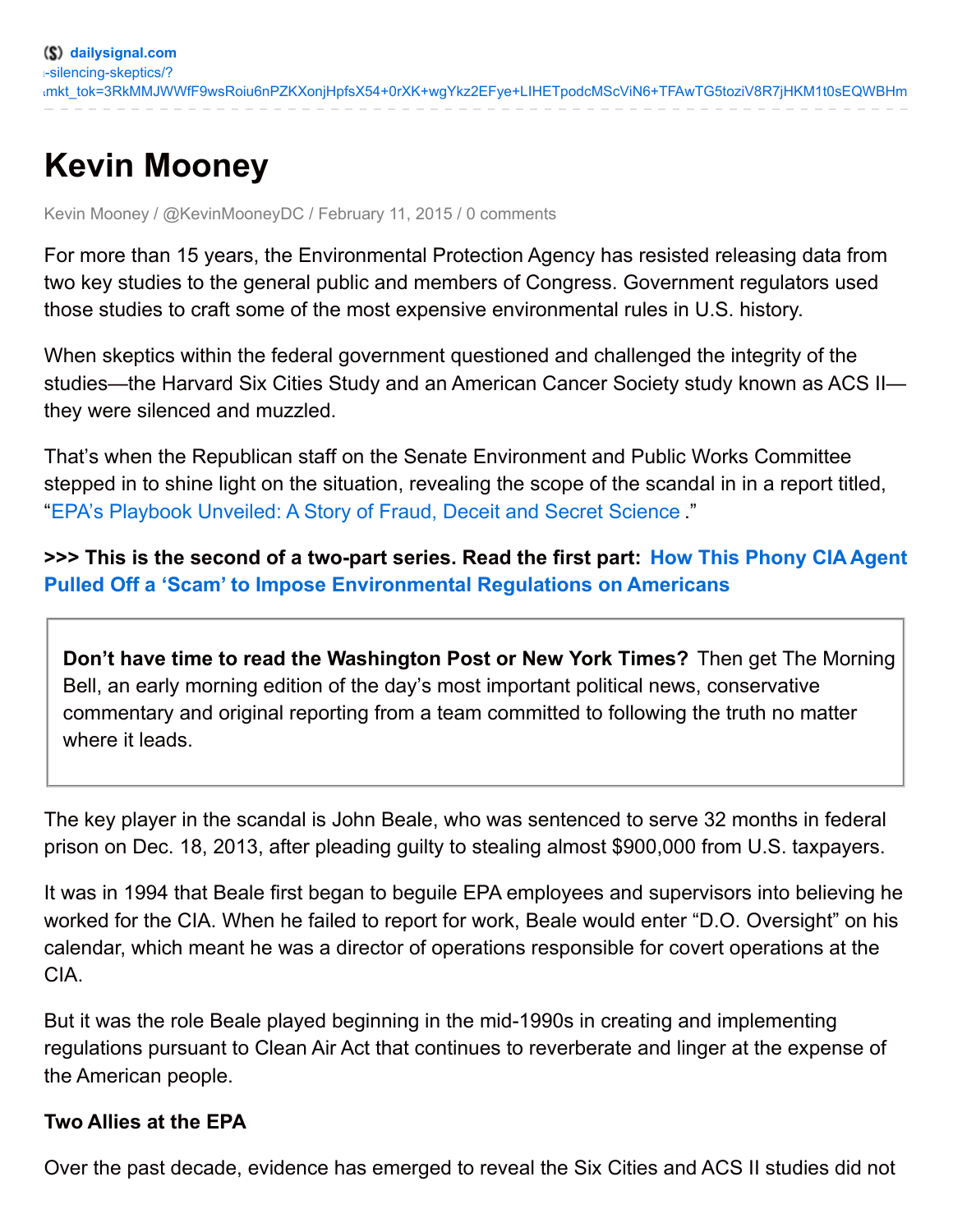# **Kevin Mooney**

Kevin Mooney / @KevinMooneyDC / February 11, 2015 / 0 comments

For more than 15 years, the Environmental Protection Agency has resisted releasing data from two key studies to the general public and members of Congress. Government regulators used those studies to craft some of the most expensive environmental rules in U.S. history.

When skeptics within the federal government questioned and challenged the integrity of the studies—the Harvard Six Cities Study and an American Cancer Society study known as ACS II they were silenced and muzzled.

That's when the Republican staff on the Senate Environment and Public Works Committee stepped in to shine light on the situation, revealing the scope of the scandal in in a report titled, "EPA's Playbook [Unveiled:](http://www.epw.senate.gov/public/index.cfm?FuseAction=Files.View&FileStore_id=b90f742e-b797-4a82-a0a3-e6848467832a) A Story of Fraud, Deceit and Secret Science ."

**>>> This is the second of a two-part series. Read the first part: How This Phony CIA Agent Pulled Off a 'Scam' to Impose [Environmental](http://dailysignal.com/2015/02/10/senate-report-exposes-epas-secret-science-phony-cia-agent/) Regulations on Americans**

**Don't have time to read the Washington Post or New York Times?** Then get The Morning Bell, an early morning edition of the day's most important political news, conservative commentary and original reporting from a team committed to following the truth no matter where it leads.

The key player in the scandal is John Beale, who was sentenced to serve 32 months in federal prison on Dec. 18, 2013, after pleading guilty to stealing almost \$900,000 from U.S. taxpayers.

It was in 1994 that Beale first began to beguile EPA employees and supervisors into believing he worked for the CIA. When he failed to report for work, Beale would enter "D.O. Oversight" on his calendar, which meant he was a director of operations responsible for covert operations at the CIA.

But it was the role Beale played beginning in the mid-1990s in creating and implementing regulations pursuant to Clean Air Act that continues to reverberate and linger at the expense of the American people.

#### **Two Allies at the EPA**

Over the past decade, evidence has emerged to reveal the Six Cities and ACS II studies did not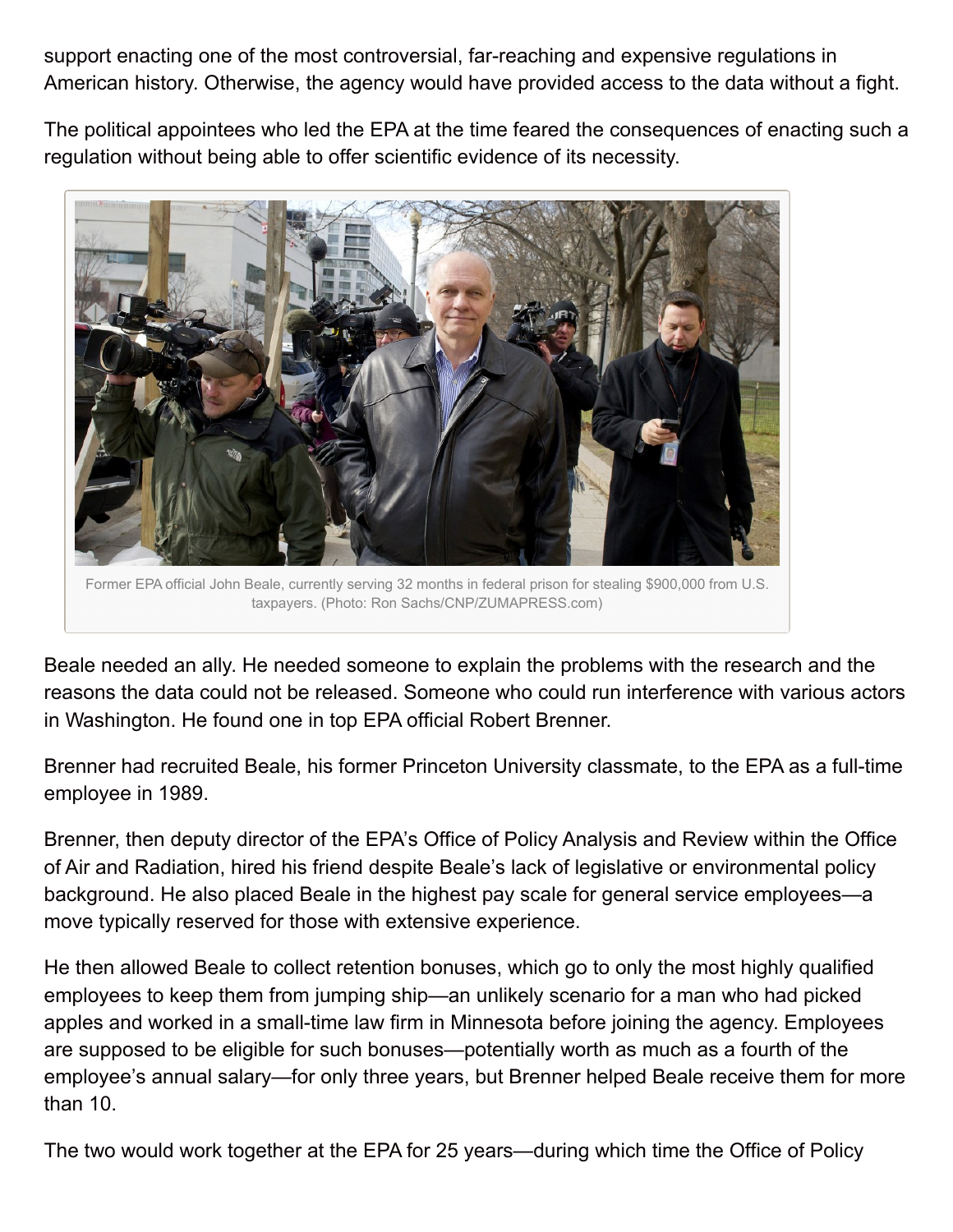support enacting one of the most controversial, far-reaching and expensive regulations in American history. Otherwise, the agency would have provided access to the data without a fight.

The political appointees who led the EPA at the time feared the consequences of enacting such a regulation without being able to offer scientific evidence of its necessity.



Former EPA official John Beale, currently serving 32 months in federal prison for stealing \$900,000 from U.S. taxpayers. (Photo: Ron Sachs/CNP/ZUMAPRESS.com)

Beale needed an ally. He needed someone to explain the problems with the research and the reasons the data could not be released. Someone who could run interference with various actors in Washington. He found one in top EPA official Robert Brenner.

Brenner had recruited Beale, his former Princeton University classmate, to the EPA as a full-time employee in 1989.

Brenner, then deputy director of the EPA's Office of Policy Analysis and Review within the Office of Air and Radiation, hired his friend despite Beale's lack of legislative or environmental policy background. He also placed Beale in the highest pay scale for general service employees—a move typically reserved for those with extensive experience.

He then allowed Beale to collect retention bonuses, which go to only the most highly qualified employees to keep them from jumping ship—an unlikely scenario for a man who had picked apples and worked in a small-time law firm in Minnesota before joining the agency. Employees are supposed to be eligible for such bonuses—potentially worth as much as a fourth of the employee's annual salary—for only three years, but Brenner helped Beale receive them for more than 10.

The two would work together at the EPA for 25 years—during which time the Office of Policy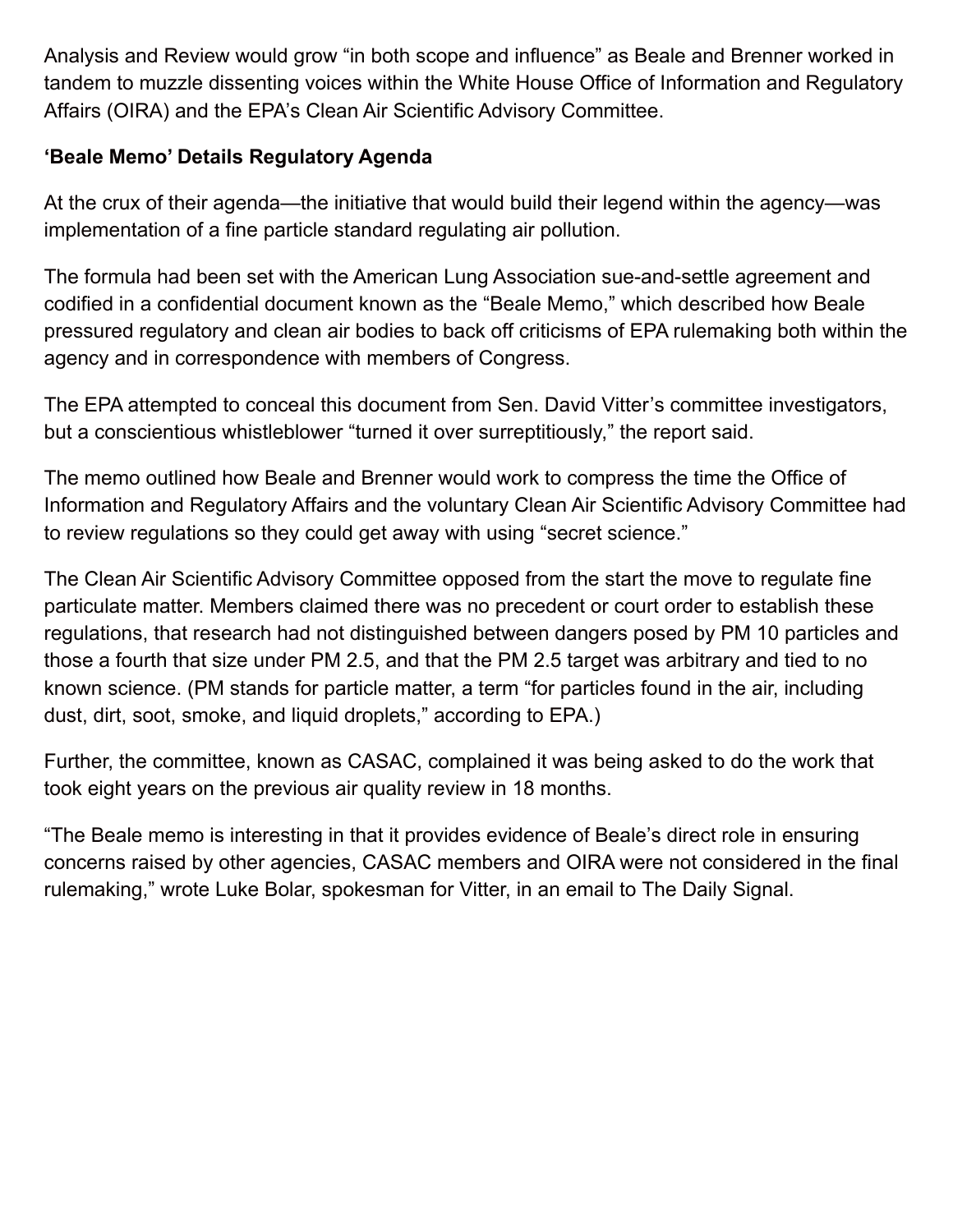Analysis and Review would grow "in both scope and influence" as Beale and Brenner worked in tandem to muzzle dissenting voices within the White House Office of Information and Regulatory Affairs (OIRA) and the EPA's Clean Air Scientific Advisory Committee.

## **'Beale Memo' Details Regulatory Agenda**

At the crux of their agenda—the initiative that would build their legend within the agency—was implementation of a fine particle standard regulating air pollution.

The formula had been set with the American Lung Association sue-and-settle agreement and codified in a confidential document known as the "Beale Memo," which described how Beale pressured regulatory and clean air bodies to back off criticisms of EPA rulemaking both within the agency and in correspondence with members of Congress.

The EPA attempted to conceal this document from Sen. David Vitter's committee investigators, but a conscientious whistleblower "turned it over surreptitiously," the report said.

The memo outlined how Beale and Brenner would work to compress the time the Office of Information and Regulatory Affairs and the voluntary Clean Air Scientific Advisory Committee had to review regulations so they could get away with using "secret science."

The Clean Air Scientific Advisory Committee opposed from the start the move to regulate fine particulate matter. Members claimed there was no precedent or court order to establish these regulations, that research had not distinguished between dangers posed by PM 10 particles and those a fourth that size under PM 2.5, and that the PM 2.5 target was arbitrary and tied to no known science. (PM stands for particle matter, a term "for particles found in the air, including dust, dirt, soot, smoke, and liquid droplets," according to EPA.)

Further, the committee, known as CASAC, complained it was being asked to do the work that took eight years on the previous air quality review in 18 months.

"The Beale memo is interesting in that it provides evidence of Beale's direct role in ensuring concerns raised by other agencies, CASAC members and OIRA were not considered in the final rulemaking," wrote Luke Bolar, spokesman for Vitter, in an email to The Daily Signal.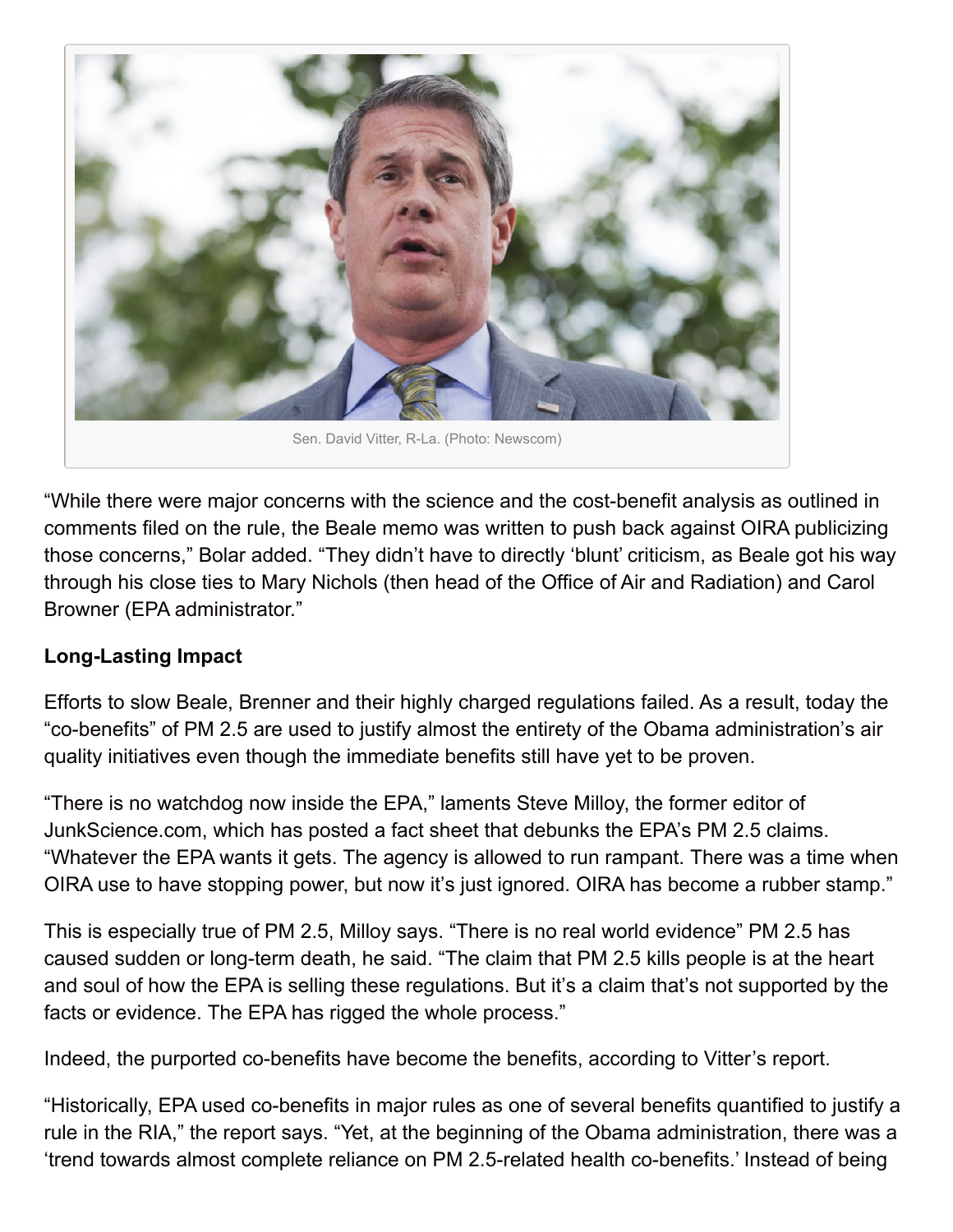

"While there were major concerns with the science and the cost-benefit analysis as outlined in comments filed on the rule, the Beale memo was written to push back against OIRA publicizing those concerns," Bolar added. "They didn't have to directly 'blunt' criticism, as Beale got his way through his close ties to Mary Nichols (then head of the Office of Air and Radiation) and Carol Browner (EPA administrator."

## **Long-Lasting Impact**

Efforts to slow Beale, Brenner and their highly charged regulations failed. As a result, today the "co-benefits" of PM 2.5 are used to justify almost the entirety of the Obama administration's air quality initiatives even though the immediate benefits still have yet to be proven.

"There is no watchdog now inside the EPA," laments Steve Milloy, the former editor of JunkScience.com, which has posted a fact sheet that debunks the EPA's PM 2.5 claims. "Whatever the EPA wants it gets. The agency is allowed to run rampant. There was a time when OIRA use to have stopping power, but now it's just ignored. OIRA has become a rubber stamp."

This is especially true of PM 2.5, Milloy says. "There is no real world evidence" PM 2.5 has caused sudden or long-term death, he said. "The claim that PM 2.5 kills people is at the heart and soul of how the EPA is selling these regulations. But it's a claim that's not supported by the facts or evidence. The EPA has rigged the whole process."

Indeed, the purported co-benefits have become the benefits, according to Vitter's report.

"Historically, EPA used co-benefits in major rules as one of several benefits quantified to justify a rule in the RIA," the report says. "Yet, at the beginning of the Obama administration, there was a 'trend towards almost complete reliance on PM 2.5-related health co-benefits.' Instead of being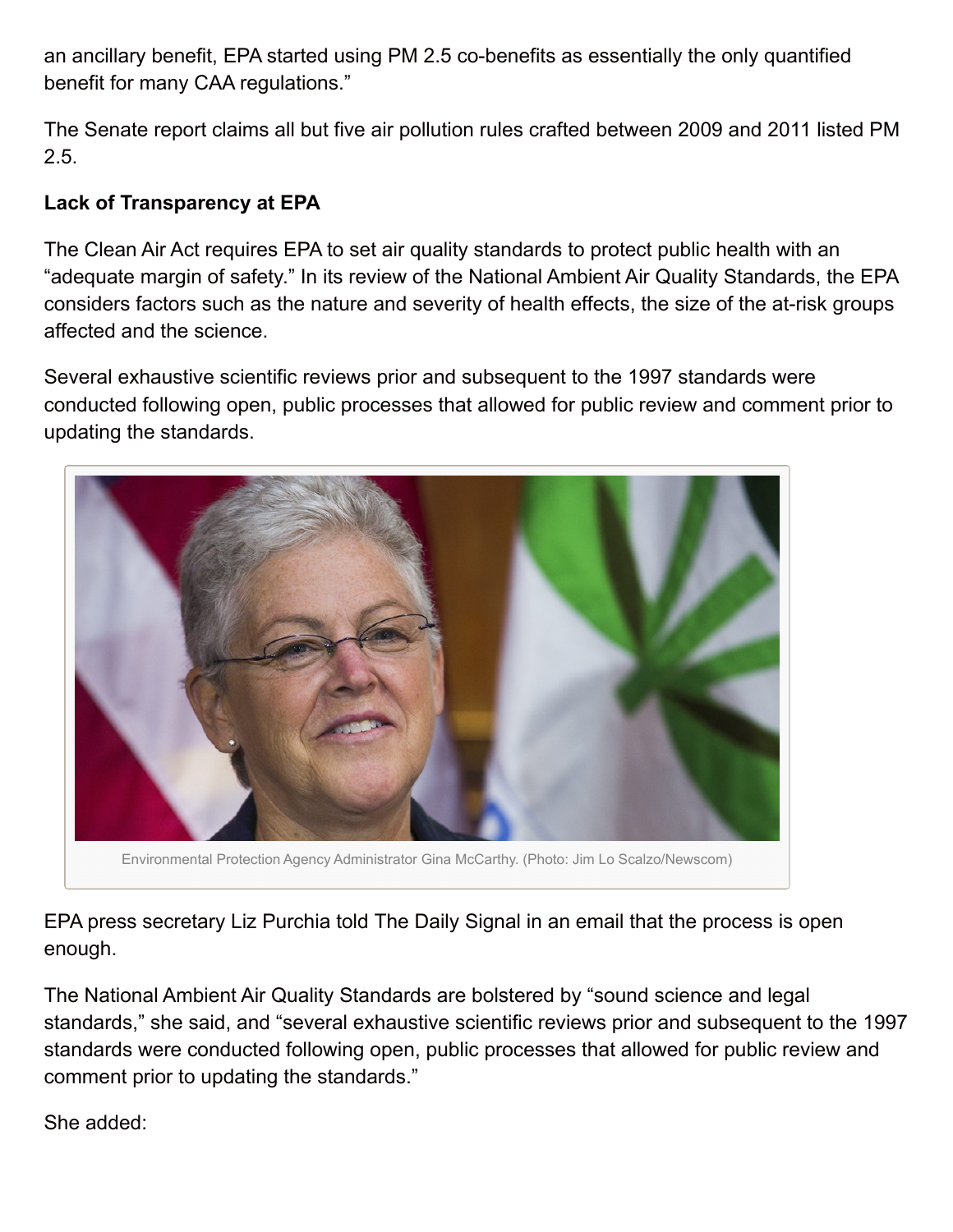an ancillary benefit, EPA started using PM 2.5 co-benefits as essentially the only quantified benefit for many CAA regulations."

The Senate report claims all but five air pollution rules crafted between 2009 and 2011 listed PM 2.5.

#### **Lack of Transparency at EPA**

The Clean Air Act requires EPA to set air quality standards to protect public health with an "adequate margin of safety." In its review of the National Ambient Air Quality Standards, the EPA considers factors such as the nature and severity of health effects, the size of the at-risk groups affected and the science.

Several exhaustive scientific reviews prior and subsequent to the 1997 standards were conducted following open, public processes that allowed for public review and comment prior to updating the standards.



Environmental Protection Agency Administrator Gina McCarthy. (Photo: Jim Lo Scalzo/Newscom)

EPA press secretary Liz Purchia told The Daily Signal in an email that the process is open enough.

The National Ambient Air Quality Standards are bolstered by "sound science and legal standards," she said, and "several exhaustive scientific reviews prior and subsequent to the 1997 standards were conducted following open, public processes that allowed for public review and comment prior to updating the standards."

She added: